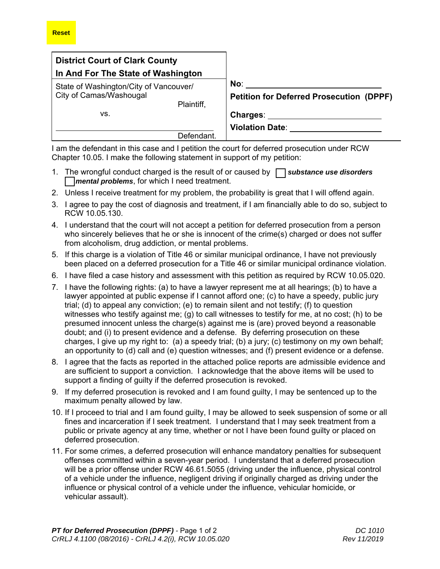| <b>District Court of Clark County</b><br>In And For The State of Washington<br>State of Washington/City of Vancouver/<br>City of Camas/Washougal<br>Plaintiff, |            |                                                        |
|----------------------------------------------------------------------------------------------------------------------------------------------------------------|------------|--------------------------------------------------------|
|                                                                                                                                                                |            |                                                        |
|                                                                                                                                                                |            | No:<br><b>Petition for Deferred Prosecution (DPPF)</b> |
| VS.                                                                                                                                                            | Defendant. | Charges:<br><b>Violation Date:</b>                     |

I am the defendant in this case and I petition the court for deferred prosecution under RCW Chapter 10.05. I make the following statement in support of my petition:

- 1. The wrongful conduct charged is the result of or caused by [ ] *substance use disorders* **T** *mental problems*, for which I need treatment.
- 2. Unless I receive treatment for my problem, the probability is great that I will offend again.
- 3. I agree to pay the cost of diagnosis and treatment, if I am financially able to do so, subject to RCW 10.05.130.
- 4. I understand that the court will not accept a petition for deferred prosecution from a person who sincerely believes that he or she is innocent of the crime(s) charged or does not suffer from alcoholism, drug addiction, or mental problems.
- 5. If this charge is a violation of Title 46 or similar municipal ordinance, I have not previously been placed on a deferred prosecution for a Title 46 or similar municipal ordinance violation.
- 6. I have filed a case history and assessment with this petition as required by RCW 10.05.020.
- 7. I have the following rights: (a) to have a lawyer represent me at all hearings; (b) to have a lawyer appointed at public expense if I cannot afford one; (c) to have a speedy, public jury trial; (d) to appeal any conviction; (e) to remain silent and not testify; (f) to question witnesses who testify against me; (g) to call witnesses to testify for me, at no cost; (h) to be presumed innocent unless the charge(s) against me is (are) proved beyond a reasonable doubt; and (i) to present evidence and a defense. By deferring prosecution on these charges, I give up my right to: (a) a speedy trial; (b) a jury; (c) testimony on my own behalf; an opportunity to (d) call and (e) question witnesses; and (f) present evidence or a defense.
- 8. I agree that the facts as reported in the attached police reports are admissible evidence and are sufficient to support a conviction. I acknowledge that the above items will be used to support a finding of guilty if the deferred prosecution is revoked.
- 9. If my deferred prosecution is revoked and I am found guilty, I may be sentenced up to the maximum penalty allowed by law.
- 10. If I proceed to trial and I am found guilty, I may be allowed to seek suspension of some or all fines and incarceration if I seek treatment. I understand that I may seek treatment from a public or private agency at any time, whether or not I have been found guilty or placed on deferred prosecution.
- 11. For some crimes, a deferred prosecution will enhance mandatory penalties for subsequent offenses committed within a seven-year period. I understand that a deferred prosecution will be a prior offense under RCW 46.61.5055 (driving under the influence, physical control of a vehicle under the influence, negligent driving if originally charged as driving under the influence or physical control of a vehicle under the influence, vehicular homicide, or vehicular assault).